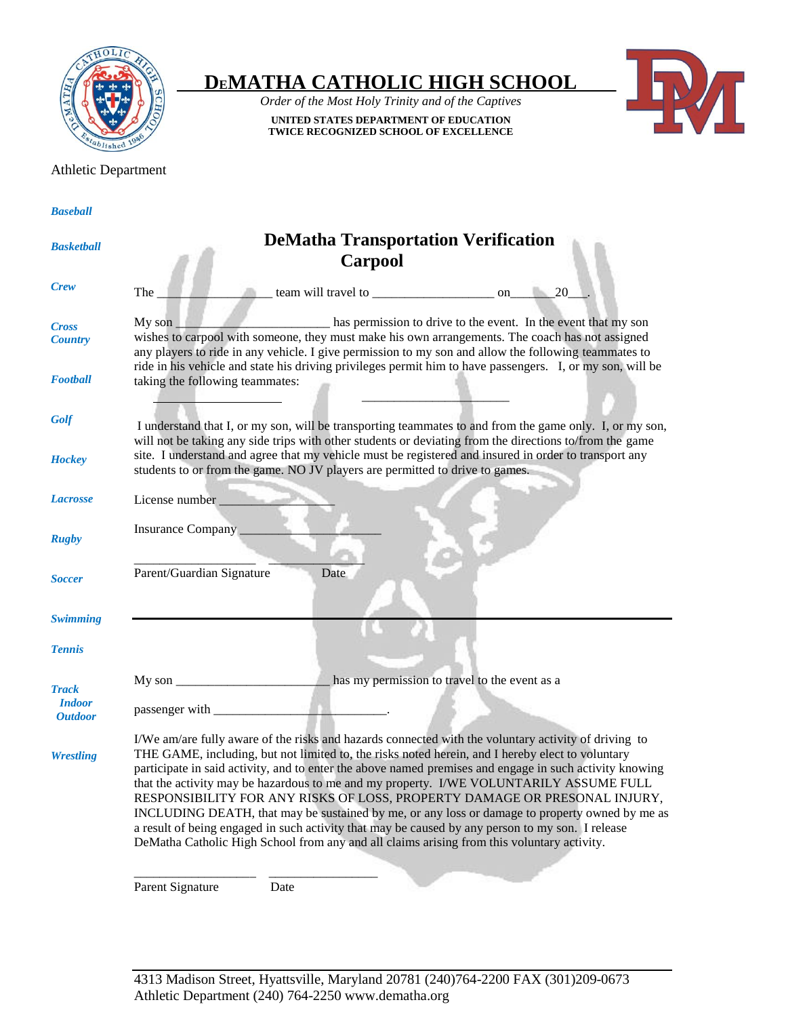

## **DEMATHA CATHOLIC HIGH SCHOOL**

*Order of the Most Holy Trinity and of the Captives* **UNITED STATES DEPARTMENT OF EDUCATION TWICE RECOGNIZED SCHOOL OF EXCELLENCE**



## Athletic Department

 **DeMatha Transportation Verification Carpool** The team will travel to concern the contract of the contract of the contract of  $\sim$  20 My son \_\_\_\_\_\_\_\_\_\_\_\_\_\_\_\_\_\_\_\_\_\_\_\_ has permission to drive to the event. In the event that my son wishes to carpool with someone, they must make his own arrangements. The coach has not assigned any players to ride in any vehicle. I give permission to my son and allow the following teammates to ride in his vehicle and state his driving privileges permit him to have passengers. I, or my son, will be taking the following teammates:  $\mathbb{R}^{N}$  , which is a set of  $\mathbb{R}^{N}$  , we can expect the set of  $\mathbb{R}^{N}$  , we can expect the set I understand that I, or my son, will be transporting teammates to and from the game only. I, or my son, will not be taking any side trips with other students or deviating from the directions to/from the game site. I understand and agree that my vehicle must be registered and insured in order to transport any students to or from the game. NO JV players are permitted to drive to games. License number Insurance Company \_\_\_\_\_\_\_\_\_\_\_\_\_\_\_\_\_\_\_\_\_\_ \_\_\_\_\_\_\_\_\_\_\_\_\_\_\_\_\_\_\_ \_\_\_\_\_\_\_\_\_\_\_\_\_\_\_ Parent/Guardian Signature Date My son \_\_\_\_\_\_\_\_\_\_\_\_\_\_\_\_\_\_\_\_\_\_\_\_ has my permission to travel to the event as a passenger with I/We am/are fully aware of the risks and hazards connected with the voluntary activity of driving to THE GAME, including, but not limited to, the risks noted herein, and I hereby elect to voluntary participate in said activity, and to enter the above named premises and engage in such activity knowing that the activity may be hazardous to me and my property. I/WE VOLUNTARILY ASSUME FULL RESPONSIBILITY FOR ANY RISKS OF LOSS, PROPERTY DAMAGE OR PRESONAL INJURY, INCLUDING DEATH, that may be sustained by me, or any loss or damage to property owned by me as a result of being engaged in such activity that may be caused by any person to my son. I release DeMatha Catholic High School from any and all claims arising from this voluntary activity. \_\_\_\_\_\_\_\_\_\_\_\_\_\_\_\_\_\_\_ \_\_\_\_\_\_\_\_\_\_\_\_\_\_\_\_\_ Parent Signature Date *Baseball Basketball Crew Cross Country Football Golf Hockey Lacrosse Rugby Soccer Swimming Tennis Track Indoor Outdoor Wrestling*